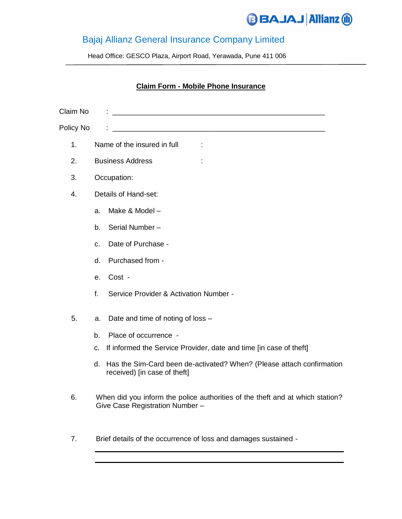

## Bajaj Allianz General Insurance Company Limited

Head Office: GESCO Plaza, Airport Road, Yerawada, Pune 411 006

## **Claim Form - Mobile Phone Insurance**

| Claim No  |                                                                                                                  |
|-----------|------------------------------------------------------------------------------------------------------------------|
| Policy No |                                                                                                                  |
| 1.        | Name of the insured in full<br>t                                                                                 |
| 2.        | <b>Business Address</b>                                                                                          |
| 3.        | Occupation:                                                                                                      |
| 4.        | Details of Hand-set:                                                                                             |
|           | Make & Model-<br>a.                                                                                              |
|           | Serial Number-<br>b.                                                                                             |
|           | Date of Purchase -<br>$C_{\cdot}$                                                                                |
|           | Purchased from -<br>$d_{\cdot}$                                                                                  |
|           | Cost -<br>е.                                                                                                     |
|           | f.<br>Service Provider & Activation Number -                                                                     |
| 5.        | Date and time of noting of loss -<br>a.                                                                          |
|           | b.<br>Place of occurrence -                                                                                      |
|           | If informed the Service Provider, date and time [in case of theft]<br>C.                                         |
|           | Has the Sim-Card been de-activated? When? (Please attach confirmation<br>d.<br>received) [in case of theft]      |
| 6.        | When did you inform the police authorities of the theft and at which station?<br>Give Case Registration Number - |

7. Brief details of the occurrence of loss and damages sustained -